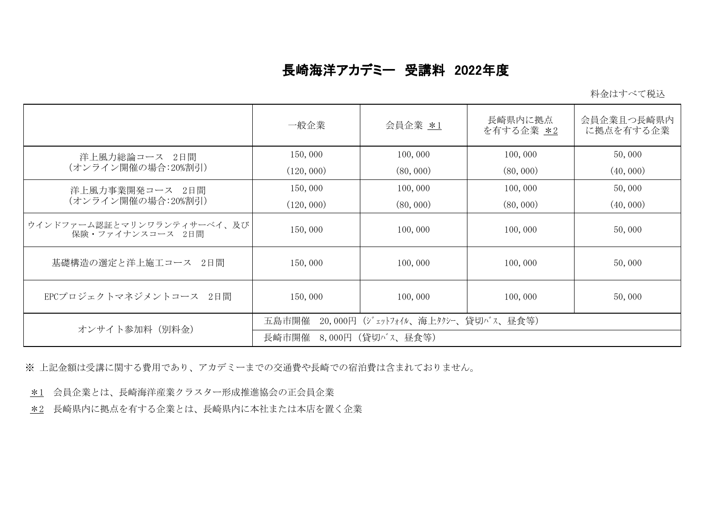## 長崎海洋アカデミー 受講料 2022年度

料金はすべて税込

|                                                | 一般企業                                        | 会員企業 *1   | 長崎県内に拠点<br>を有する企業 *2 | 会員企業且つ長崎県内<br>に拠点を有する企業 |  |
|------------------------------------------------|---------------------------------------------|-----------|----------------------|-------------------------|--|
| 洋上風力総論コース 2日間<br>(オンライン開催の場合:20%割引)            | 150,000                                     | 100,000   | 100,000              | 50,000                  |  |
|                                                | (120, 000)                                  | (80, 000) | (80, 000)            | (40, 000)               |  |
| 洋上風力事業開発コース 2日間<br>(オンライン開催の場合:20%割引)          | 150,000                                     | 100,000   | 100,000              | 50,000                  |  |
|                                                | (120, 000)                                  | (80, 000) | (80, 000)            | (40, 000)               |  |
| ウインドファーム認証とマリンワランティサーベイ、及び<br>保険・ファイナンスコース 2日間 | 150,000                                     | 100,000   | 100,000              | 50,000                  |  |
| 基礎構造の選定と洋上施工コース 2日間                            | 150,000                                     | 100,000   | 100,000              | 50,000                  |  |
| EPCプロジェクトマネジメントコース 2日間                         | 150,000                                     | 100,000   | 100,000              | 50,000                  |  |
| オンサイト参加料 (別料金)                                 | 20,000円 (ジェットフォイル、海上タクシー、貸切バス、昼食等)<br>五島市開催 |           |                      |                         |  |
|                                                | - 8,000円(貸切バス、昼食等)<br>長崎市開催                 |           |                      |                         |  |

※ 上記金額は受講に関する費用であり、アカデミーまでの交通費や長崎での宿泊費は含まれておりません。

\*1 会員企業とは、長崎海洋産業クラスター形成推進協会の正会員企業

\*2 長崎県内に拠点を有する企業とは、長崎県内に本社または本店を置く企業